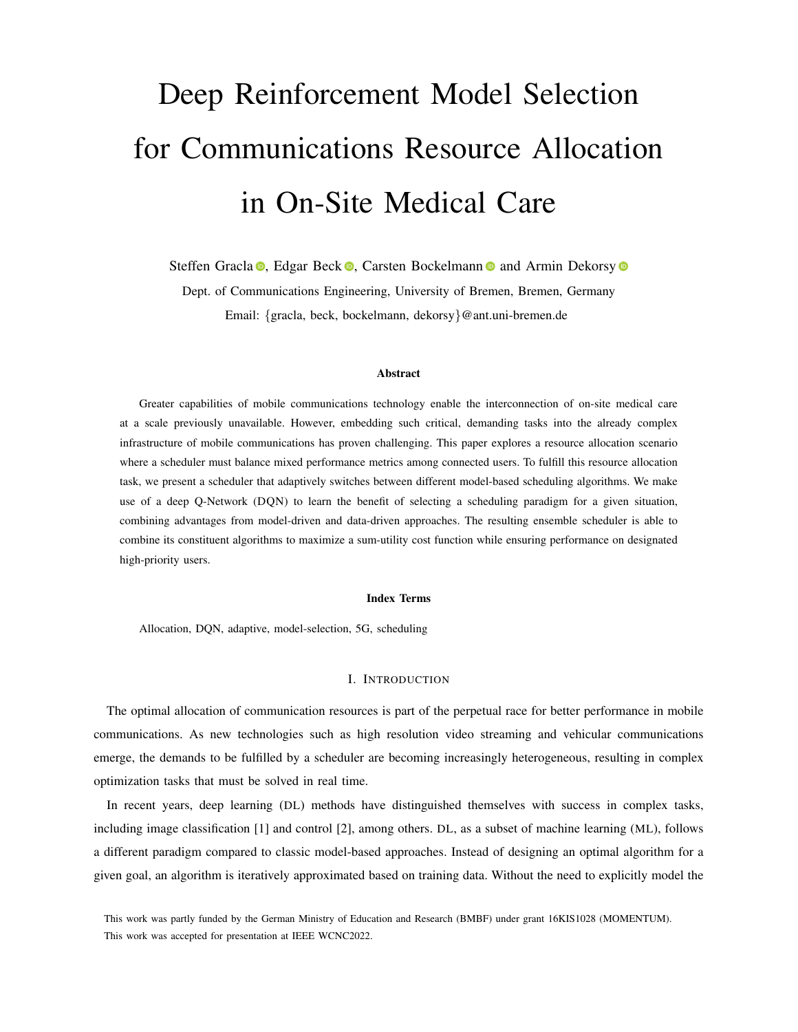# Deep Reinforcement Model Selection for Communications Resource Allocation in On-Site Medical Care

Steffen Gracla <sup>®</sup>[,](https://orcid.org/0000-0003-2213-9727) Edgar Beck <sup>®</sup>, Carsten Bockelmann <sup>®</sup> and Armin Dekorsy <sup>®</sup>

Dept. of Communications Engineering, University of Bremen, Bremen, Germany Email: {gracla, beck, bockelmann, dekorsy}@ant.uni-bremen.de

# Abstract

Greater capabilities of mobile communications technology enable the interconnection of on-site medical care at a scale previously unavailable. However, embedding such critical, demanding tasks into the already complex infrastructure of mobile communications has proven challenging. This paper explores a resource allocation scenario where a scheduler must balance mixed performance metrics among connected users. To fulfill this resource allocation task, we present a scheduler that adaptively switches between different model-based scheduling algorithms. We make use of a deep Q-Network (DQN) to learn the benefit of selecting a scheduling paradigm for a given situation, combining advantages from model-driven and data-driven approaches. The resulting ensemble scheduler is able to combine its constituent algorithms to maximize a sum-utility cost function while ensuring performance on designated high-priority users.

#### Index Terms

Allocation, DQN, adaptive, model-selection, 5G, scheduling

#### I. INTRODUCTION

The optimal allocation of communication resources is part of the perpetual race for better performance in mobile communications. As new technologies such as high resolution video streaming and vehicular communications emerge, the demands to be fulfilled by a scheduler are becoming increasingly heterogeneous, resulting in complex optimization tasks that must be solved in real time.

In recent years, deep learning (DL) methods have distinguished themselves with success in complex tasks, including image classification [\[1\]](#page-8-0) and control [\[2\]](#page-8-1), among others. DL, as a subset of machine learning (ML), follows a different paradigm compared to classic model-based approaches. Instead of designing an optimal algorithm for a given goal, an algorithm is iteratively approximated based on training data. Without the need to explicitly model the

This work was partly funded by the German Ministry of Education and Research (BMBF) under grant 16KIS1028 (MOMENTUM). This work was accepted for presentation at IEEE WCNC2022.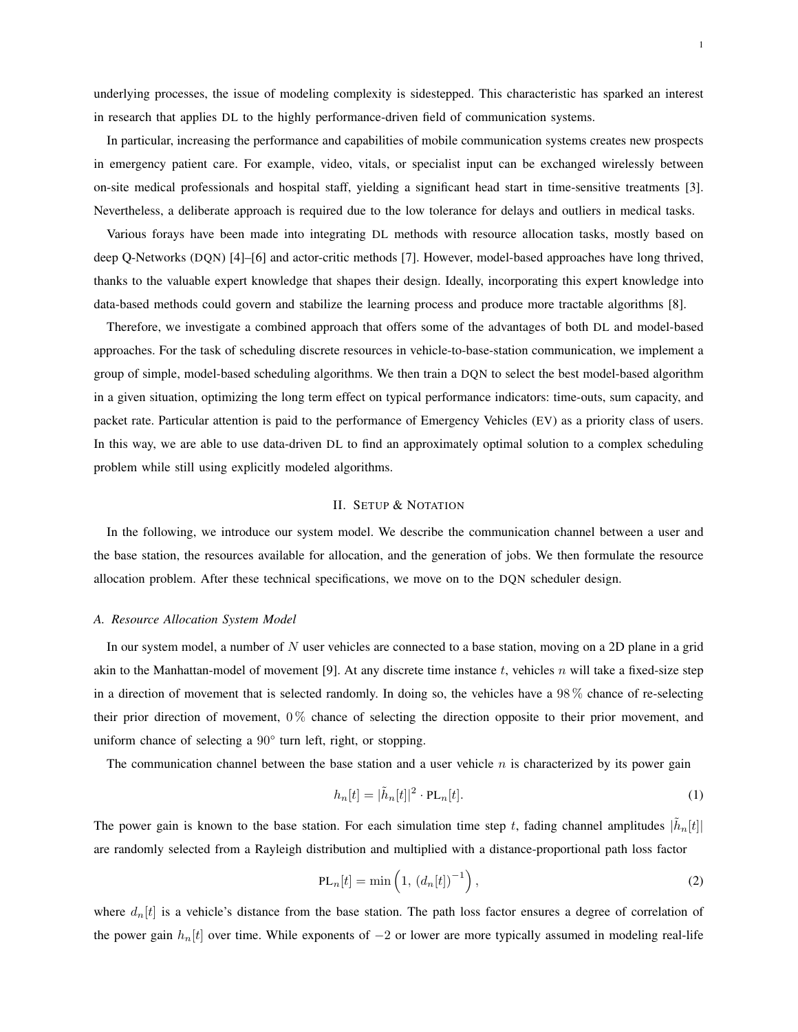1

underlying processes, the issue of modeling complexity is sidestepped. This characteristic has sparked an interest in research that applies DL to the highly performance-driven field of communication systems.

In particular, increasing the performance and capabilities of mobile communication systems creates new prospects in emergency patient care. For example, video, vitals, or specialist input can be exchanged wirelessly between on-site medical professionals and hospital staff, yielding a significant head start in time-sensitive treatments [\[3\]](#page-8-2). Nevertheless, a deliberate approach is required due to the low tolerance for delays and outliers in medical tasks.

Various forays have been made into integrating DL methods with resource allocation tasks, mostly based on deep Q-Networks (DQN) [\[4\]](#page-8-3)–[\[6\]](#page-8-4) and actor-critic methods [\[7\]](#page-8-5). However, model-based approaches have long thrived, thanks to the valuable expert knowledge that shapes their design. Ideally, incorporating this expert knowledge into data-based methods could govern and stabilize the learning process and produce more tractable algorithms [\[8\]](#page-8-6).

Therefore, we investigate a combined approach that offers some of the advantages of both DL and model-based approaches. For the task of scheduling discrete resources in vehicle-to-base-station communication, we implement a group of simple, model-based scheduling algorithms. We then train a DQN to select the best model-based algorithm in a given situation, optimizing the long term effect on typical performance indicators: time-outs, sum capacity, and packet rate. Particular attention is paid to the performance of Emergency Vehicles (EV) as a priority class of users. In this way, we are able to use data-driven DL to find an approximately optimal solution to a complex scheduling problem while still using explicitly modeled algorithms.

#### II. SETUP & NOTATION

In the following, we introduce our system model. We describe the communication channel between a user and the base station, the resources available for allocation, and the generation of jobs. We then formulate the resource allocation problem. After these technical specifications, we move on to the DQN scheduler design.

#### *A. Resource Allocation System Model*

In our system model, a number of N user vehicles are connected to a base station, moving on a 2D plane in a grid akin to the Manhattan-model of movement [\[9\]](#page-8-7). At any discrete time instance t, vehicles n will take a fixed-size step in a direction of movement that is selected randomly. In doing so, the vehicles have a 98 % chance of re-selecting their prior direction of movement, 0 % chance of selecting the direction opposite to their prior movement, and uniform chance of selecting a 90° turn left, right, or stopping.

The communication channel between the base station and a user vehicle  $n$  is characterized by its power gain

$$
h_n[t] = |\tilde{h}_n[t]|^2 \cdot \text{PL}_n[t]. \tag{1}
$$

The power gain is known to the base station. For each simulation time step t, fading channel amplitudes  $|\tilde{h}_n[t]|$ are randomly selected from a Rayleigh distribution and multiplied with a distance-proportional path loss factor

$$
PL_n[t] = \min\left(1, \left(d_n[t]\right)^{-1}\right),\tag{2}
$$

where  $d_n[t]$  is a vehicle's distance from the base station. The path loss factor ensures a degree of correlation of the power gain  $h_n[t]$  over time. While exponents of  $-2$  or lower are more typically assumed in modeling real-life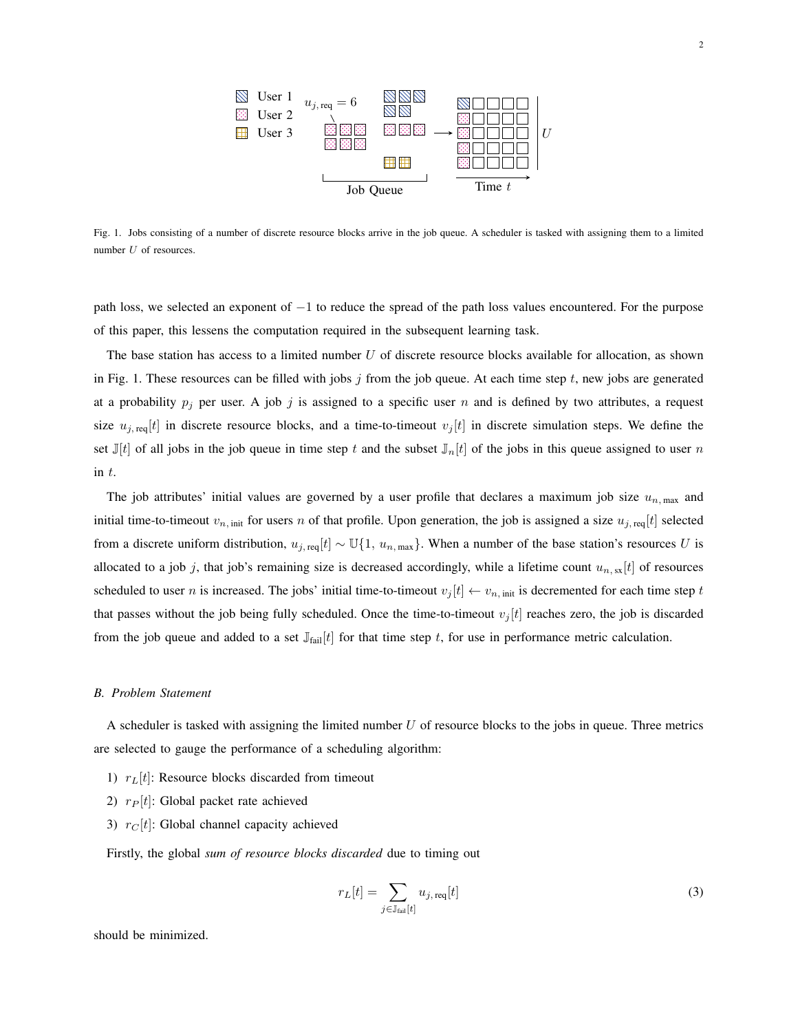

<span id="page-2-0"></span>Fig. 1. Jobs consisting of a number of discrete resource blocks arrive in the job queue. A scheduler is tasked with assigning them to a limited number U of resources.

path loss, we selected an exponent of −1 to reduce the spread of the path loss values encountered. For the purpose of this paper, this lessens the computation required in the subsequent learning task.

The base station has access to a limited number  $U$  of discrete resource blocks available for allocation, as shown in Fig. [1.](#page-2-0) These resources can be filled with jobs  $j$  from the job queue. At each time step  $t$ , new jobs are generated at a probability  $p_j$  per user. A job j is assigned to a specific user n and is defined by two attributes, a request size  $u_{j, \text{req}}[t]$  in discrete resource blocks, and a time-to-timeout  $v_j[t]$  in discrete simulation steps. We define the set  $\mathbb{J}[t]$  of all jobs in the job queue in time step t and the subset  $\mathbb{J}_n[t]$  of the jobs in this queue assigned to user n in t.

The job attributes' initial values are governed by a user profile that declares a maximum job size  $u_{n, \text{max}}$  and initial time-to-timeout  $v_{n, \text{init}}$  for users n of that profile. Upon generation, the job is assigned a size  $u_{j, \text{req}}[t]$  selected from a discrete uniform distribution,  $u_{j, \text{req}}[t] \sim \mathbb{U}\{1, u_{n, \text{max}}\}$ . When a number of the base station's resources U is allocated to a job j, that job's remaining size is decreased accordingly, while a lifetime count  $u_{n, \text{ss}}[t]$  of resources scheduled to user n is increased. The jobs' initial time-to-timeout  $v_j[t] \leftarrow v_{n, \text{init}}$  is decremented for each time step t that passes without the job being fully scheduled. Once the time-to-timeout  $v_j[t]$  reaches zero, the job is discarded from the job queue and added to a set  $\mathbb{J}_{\text{fail}}[t]$  for that time step t, for use in performance metric calculation.

#### *B. Problem Statement*

A scheduler is tasked with assigning the limited number  $U$  of resource blocks to the jobs in queue. Three metrics are selected to gauge the performance of a scheduling algorithm:

- 1)  $r_L[t]$ : Resource blocks discarded from timeout
- 2)  $r_P[t]$ : Global packet rate achieved
- 3)  $r_C[t]$ : Global channel capacity achieved

Firstly, the global *sum of resource blocks discarded* due to timing out

$$
r_L[t] = \sum_{j \in \mathbb{J}_{\text{fail}}[t]} u_{j,\text{req}}[t] \tag{3}
$$

should be minimized.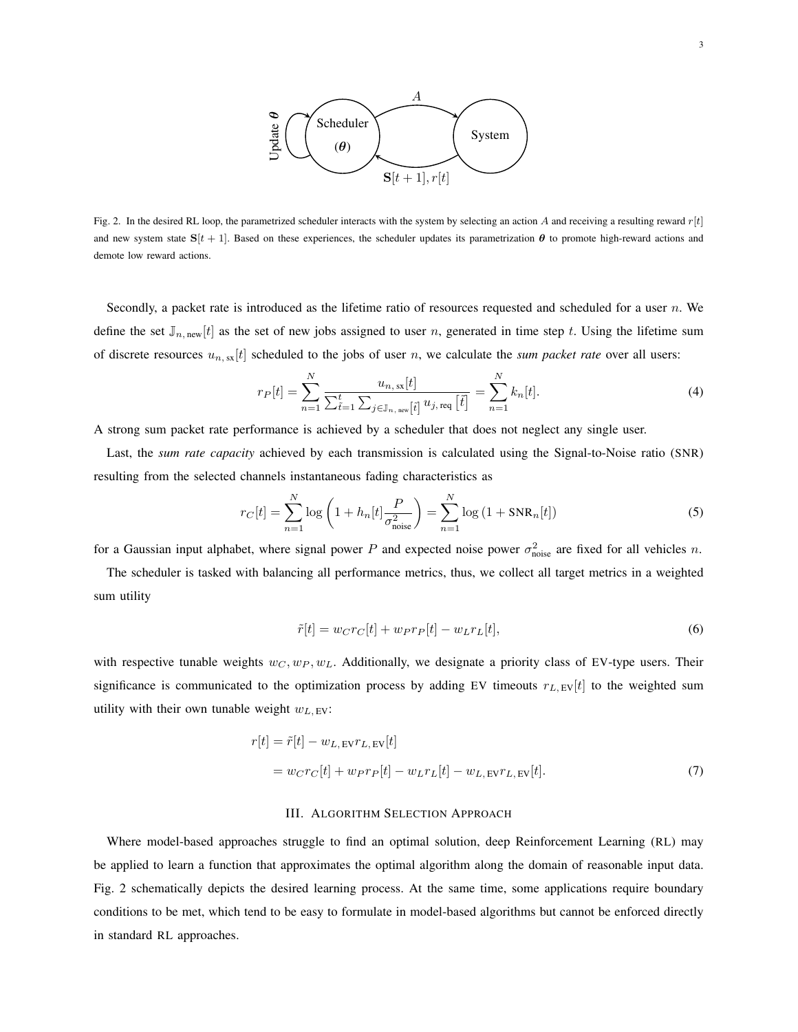

<span id="page-3-0"></span>Fig. 2. In the desired RL loop, the parametrized scheduler interacts with the system by selecting an action A and receiving a resulting reward  $r[t]$ and new system state  $S[t + 1]$ . Based on these experiences, the scheduler updates its parametrization  $\theta$  to promote high-reward actions and demote low reward actions.

Secondly, a packet rate is introduced as the lifetime ratio of resources requested and scheduled for a user  $n$ . We define the set  $\mathbb{J}_{n,\text{new}}[t]$  as the set of new jobs assigned to user n, generated in time step t. Using the lifetime sum of discrete resources  $u_{n,ss}[t]$  scheduled to the jobs of user n, we calculate the *sum packet rate* over all users:

$$
r_P[t] = \sum_{n=1}^{N} \frac{u_{n, \, \text{sx}}[t]}{\sum_{\tilde{t}=1}^{t} \sum_{j \in \mathbb{J}_{n, \text{new}}[\tilde{t}]} u_{j, \text{req}}[\tilde{t}]} = \sum_{n=1}^{N} k_n[t]. \tag{4}
$$

A strong sum packet rate performance is achieved by a scheduler that does not neglect any single user.

Last, the *sum rate capacity* achieved by each transmission is calculated using the Signal-to-Noise ratio (SNR) resulting from the selected channels instantaneous fading characteristics as

$$
r_C[t] = \sum_{n=1}^{N} \log \left( 1 + h_n[t] \frac{P}{\sigma_{\text{noise}}^2} \right) = \sum_{n=1}^{N} \log \left( 1 + \text{SNR}_n[t] \right) \tag{5}
$$

for a Gaussian input alphabet, where signal power P and expected noise power  $\sigma_{\text{noise}}^2$  are fixed for all vehicles n.

The scheduler is tasked with balancing all performance metrics, thus, we collect all target metrics in a weighted sum utility

$$
\tilde{r}[t] = w_C r_C[t] + w_P r_P[t] - w_L r_L[t],\tag{6}
$$

with respective tunable weights  $w_C, w_P, w_L$ . Additionally, we designate a priority class of EV-type users. Their significance is communicated to the optimization process by adding EV timeouts  $r_{L,EV}[t]$  to the weighted sum utility with their own tunable weight  $w_{L,EV}$ :

$$
r[t] = \tilde{r}[t] - w_{L, \text{EV}} r_{L, \text{EV}}[t]
$$
  
= 
$$
w_{C} r_{C}[t] + w_{P} r_{P}[t] - w_{L} r_{L}[t] - w_{L, \text{EV}} r_{L, \text{EV}}[t].
$$
 (7)

#### <span id="page-3-1"></span>III. ALGORITHM SELECTION APPROACH

Where model-based approaches struggle to find an optimal solution, deep Reinforcement Learning (RL) may be applied to learn a function that approximates the optimal algorithm along the domain of reasonable input data. Fig. [2](#page-3-0) schematically depicts the desired learning process. At the same time, some applications require boundary conditions to be met, which tend to be easy to formulate in model-based algorithms but cannot be enforced directly in standard RL approaches.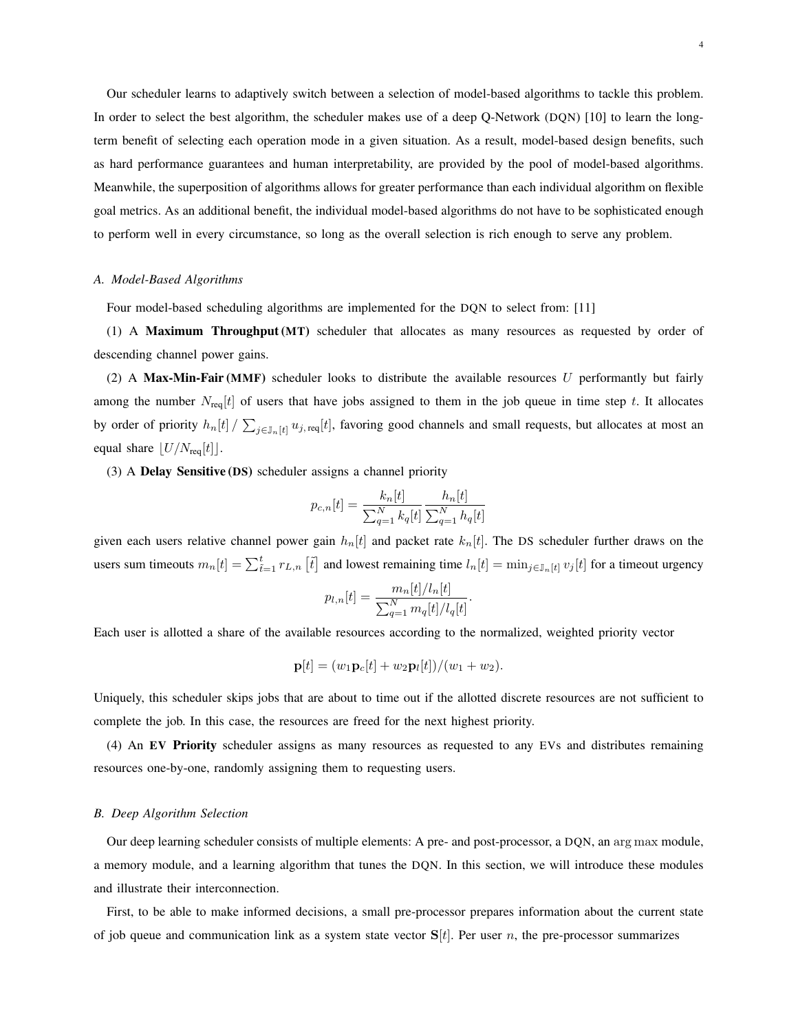Our scheduler learns to adaptively switch between a selection of model-based algorithms to tackle this problem. In order to select the best algorithm, the scheduler makes use of a deep Q-Network (DQN) [\[10\]](#page-8-8) to learn the longterm benefit of selecting each operation mode in a given situation. As a result, model-based design benefits, such as hard performance guarantees and human interpretability, are provided by the pool of model-based algorithms. Meanwhile, the superposition of algorithms allows for greater performance than each individual algorithm on flexible goal metrics. As an additional benefit, the individual model-based algorithms do not have to be sophisticated enough to perform well in every circumstance, so long as the overall selection is rich enough to serve any problem.

#### *A. Model-Based Algorithms*

Four model-based scheduling algorithms are implemented for the DQN to select from: [\[11\]](#page-8-9)

(1) A Maximum Throughput (MT) scheduler that allocates as many resources as requested by order of descending channel power gains.

(2) A Max-Min-Fair (MMF) scheduler looks to distribute the available resources  $U$  performantly but fairly among the number  $N_{\text{req}}[t]$  of users that have jobs assigned to them in the job queue in time step t. It allocates by order of priority  $h_n[t] / \sum_{j \in J_n[t]} u_{j, \text{req}}[t]$ , favoring good channels and small requests, but allocates at most an equal share  $\lfloor U/N_{\text{req}}[t]\rfloor$ .

(3) A Delay Sensitive (DS) scheduler assigns a channel priority

$$
p_{c,n}[t] = \frac{k_n[t]}{\sum_{q=1}^{N} k_q[t]} \frac{h_n[t]}{\sum_{q=1}^{N} h_q[t]}
$$

given each users relative channel power gain  $h_n[t]$  and packet rate  $k_n[t]$ . The DS scheduler further draws on the users sum timeouts  $m_n[t] = \sum_{\tilde{t}=1}^t r_{L,n} [\tilde{t}]$  and lowest remaining time  $l_n[t] = \min_{j \in \mathbb{J}_n[t]} v_j[t]$  for a timeout urgency

$$
p_{l,n}[t] = \frac{m_n[t]/l_n[t]}{\sum_{q=1}^N m_q[t]/l_q[t]}.
$$

Each user is allotted a share of the available resources according to the normalized, weighted priority vector

$$
\mathbf{p}[t] = (w_1 \mathbf{p}_c[t] + w_2 \mathbf{p}_l[t])/(w_1 + w_2).
$$

Uniquely, this scheduler skips jobs that are about to time out if the allotted discrete resources are not sufficient to complete the job. In this case, the resources are freed for the next highest priority.

(4) An EV Priority scheduler assigns as many resources as requested to any EVs and distributes remaining resources one-by-one, randomly assigning them to requesting users.

#### *B. Deep Algorithm Selection*

Our deep learning scheduler consists of multiple elements: A pre- and post-processor, a DQN, an arg max module, a memory module, and a learning algorithm that tunes the DQN. In this section, we will introduce these modules and illustrate their interconnection.

First, to be able to make informed decisions, a small pre-processor prepares information about the current state of job queue and communication link as a system state vector  $S[t]$ . Per user n, the pre-processor summarizes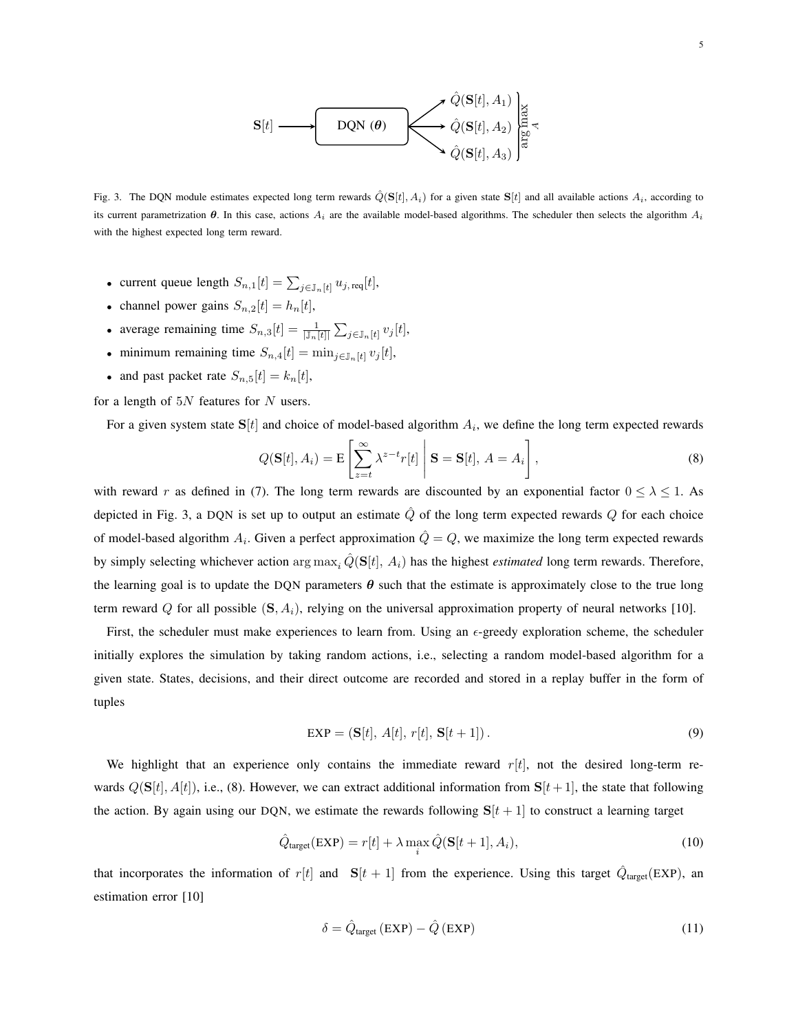

<span id="page-5-0"></span>Fig. 3. The DQN module estimates expected long term rewards  $\hat{Q}(\mathbf{S}[t], A_i)$  for a given state  $\mathbf{S}[t]$  and all available actions  $A_i$ , according to its current parametrization  $\theta$ . In this case, actions  $A_i$  are the available model-based algorithms. The scheduler then selects the algorithm  $A_i$ with the highest expected long term reward.

- current queue length  $S_{n,1}[t] = \sum_{j \in \mathbb{J}_n[t]} u_{j,\text{req}}[t],$
- channel power gains  $S_{n,2}[t] = h_n[t]$ ,
- average remaining time  $S_{n,3}[t] = \frac{1}{|\mathbb{J}_n[t]|} \sum_{j \in \mathbb{J}_n[t]} v_j[t],$
- minimum remaining time  $S_{n,4}[t] = \min_{j \in \mathbb{J}_n[t]} v_j[t]$ ,
- and past packet rate  $S_{n,5}[t] = k_n[t]$ ,

for a length of  $5N$  features for  $N$  users.

For a given system state  $S[t]$  and choice of model-based algorithm  $A_i$ , we define the long term expected rewards

<span id="page-5-1"></span>
$$
Q(\mathbf{S}[t], A_i) = \mathbf{E}\left[\sum_{z=t}^{\infty} \lambda^{z-t} r[t] \middle| \mathbf{S} = \mathbf{S}[t], A = A_i\right],
$$
\n(8)

with reward r as defined in [\(7\)](#page-3-1). The long term rewards are discounted by an exponential factor  $0 \le \lambda \le 1$ . As depicted in Fig. [3,](#page-5-0) a DQN is set up to output an estimate  $\hat{Q}$  of the long term expected rewards  $Q$  for each choice of model-based algorithm  $A_i$ . Given a perfect approximation  $\hat{Q}=Q$ , we maximize the long term expected rewards by simply selecting whichever action  $\arg \max_i \hat{Q}(\mathbf{S}[t], A_i)$  has the highest *estimated* long term rewards. Therefore, the learning goal is to update the DQN parameters  $\theta$  such that the estimate is approximately close to the true long term reward Q for all possible  $(S, A_i)$ , relying on the universal approximation property of neural networks [\[10\]](#page-8-8).

First, the scheduler must make experiences to learn from. Using an  $\epsilon$ -greedy exploration scheme, the scheduler initially explores the simulation by taking random actions, i.e., selecting a random model-based algorithm for a given state. States, decisions, and their direct outcome are recorded and stored in a replay buffer in the form of tuples

$$
\text{EXP} = (\mathbf{S}[t], A[t], r[t], \mathbf{S}[t+1]). \tag{9}
$$

We highlight that an experience only contains the immediate reward  $r[t]$ , not the desired long-term rewards  $Q(S[t], A[t])$ , i.e., [\(8\)](#page-5-1). However, we can extract additional information from  $S[t+1]$ , the state that following the action. By again using our DQN, we estimate the rewards following  $S[t + 1]$  to construct a learning target

$$
\hat{Q}_{\text{target}}(\text{EXP}) = r[t] + \lambda \max_{i} \hat{Q}(\mathbf{S}[t+1], A_i), \tag{10}
$$

that incorporates the information of  $r[t]$  and  $S[t + 1]$  from the experience. Using this target  $\hat{Q}_{\text{target}}(EXP)$ , an estimation error [\[10\]](#page-8-8)

<span id="page-5-2"></span>
$$
\delta = \hat{Q}_{\text{target}} (\text{EXP}) - \hat{Q} (\text{EXP}) \tag{11}
$$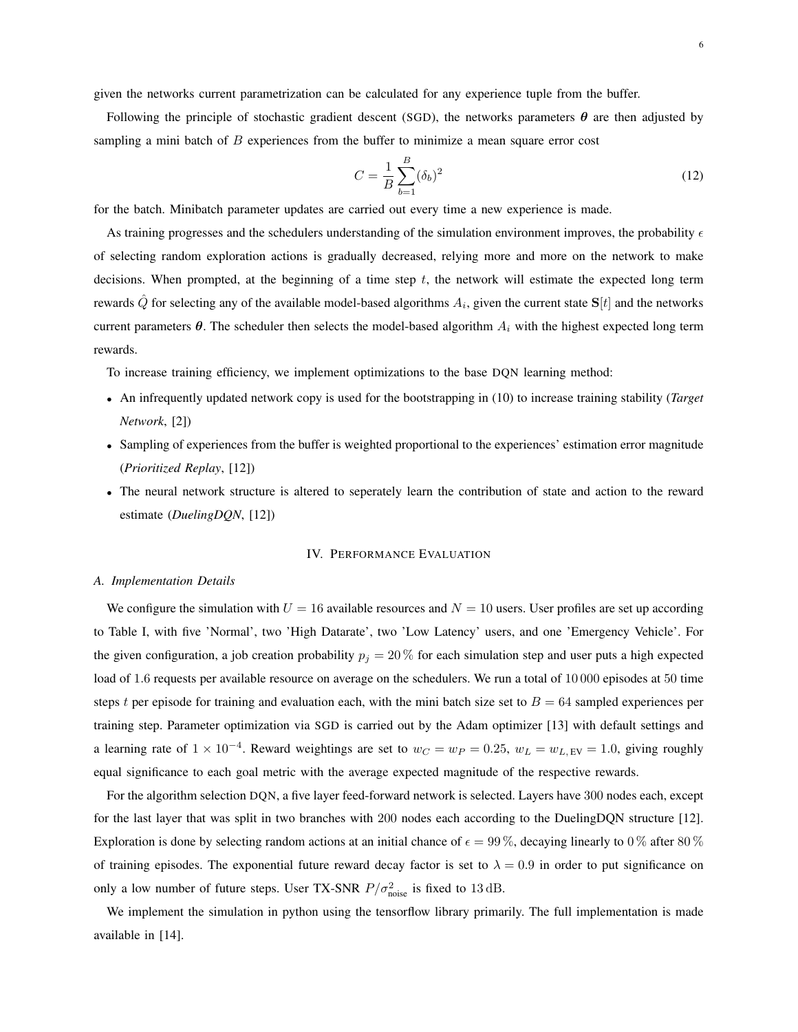given the networks current parametrization can be calculated for any experience tuple from the buffer.

Following the principle of stochastic gradient descent (SGD), the networks parameters  $\theta$  are then adjusted by sampling a mini batch of  $B$  experiences from the buffer to minimize a mean square error cost

$$
C = \frac{1}{B} \sum_{b=1}^{B} (\delta_b)^2
$$
 (12)

for the batch. Minibatch parameter updates are carried out every time a new experience is made.

As training progresses and the schedulers understanding of the simulation environment improves, the probability  $\epsilon$ of selecting random exploration actions is gradually decreased, relying more and more on the network to make decisions. When prompted, at the beginning of a time step  $t$ , the network will estimate the expected long term rewards  $\hat{Q}$  for selecting any of the available model-based algorithms  $A_i$ , given the current state  ${\bf S}[t]$  and the networks current parameters  $\theta$ . The scheduler then selects the model-based algorithm  $A_i$  with the highest expected long term rewards.

To increase training efficiency, we implement optimizations to the base DQN learning method:

- An infrequently updated network copy is used for the bootstrapping in [\(10\)](#page-5-2) to increase training stability (*Target Network*, [\[2\]](#page-8-1))
- Sampling of experiences from the buffer is weighted proportional to the experiences' estimation error magnitude (*Prioritized Replay*, [\[12\]](#page-8-10))
- The neural network structure is altered to seperately learn the contribution of state and action to the reward estimate (*DuelingDQN*, [\[12\]](#page-8-10))

#### IV. PERFORMANCE EVALUATION

# *A. Implementation Details*

We configure the simulation with  $U = 16$  available resources and  $N = 10$  users. User profiles are set up according to Table [I,](#page-7-0) with five 'Normal', two 'High Datarate', two 'Low Latency' users, and one 'Emergency Vehicle'. For the given configuration, a job creation probability  $p_j = 20\%$  for each simulation step and user puts a high expected load of 1.6 requests per available resource on average on the schedulers. We run a total of 10 000 episodes at 50 time steps t per episode for training and evaluation each, with the mini batch size set to  $B = 64$  sampled experiences per training step. Parameter optimization via SGD is carried out by the Adam optimizer [\[13\]](#page-8-11) with default settings and a learning rate of  $1 \times 10^{-4}$ . Reward weightings are set to  $w_C = w_P = 0.25$ ,  $w_L = w_{L,EV} = 1.0$ , giving roughly equal significance to each goal metric with the average expected magnitude of the respective rewards.

For the algorithm selection DQN, a five layer feed-forward network is selected. Layers have 300 nodes each, except for the last layer that was split in two branches with 200 nodes each according to the DuelingDQN structure [\[12\]](#page-8-10). Exploration is done by selecting random actions at an initial chance of  $\epsilon = 99\%$ , decaying linearly to 0% after 80% of training episodes. The exponential future reward decay factor is set to  $\lambda = 0.9$  in order to put significance on only a low number of future steps. User TX-SNR  $P/\sigma_{\text{noise}}^2$  is fixed to 13 dB.

We implement the simulation in python using the tensorflow library primarily. The full implementation is made available in [\[14\]](#page-8-12).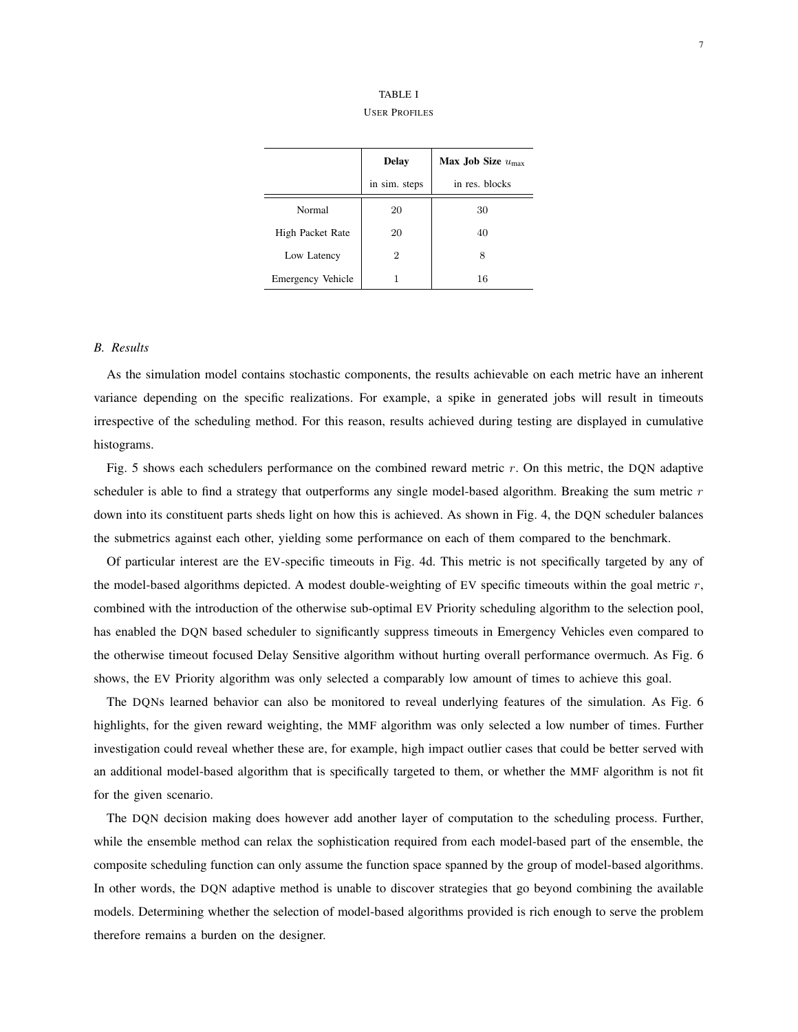| TABLE I              |  |  |  |
|----------------------|--|--|--|
| <b>USER PROFILES</b> |  |  |  |

<span id="page-7-0"></span>

|                   | <b>Delay</b>  | Max Job Size $u_{\text{max}}$ |
|-------------------|---------------|-------------------------------|
|                   | in sim. steps | in res. blocks                |
| Normal            | 20            | 30                            |
| High Packet Rate  | 20            | 40                            |
| Low Latency       | 2             | 8                             |
| Emergency Vehicle |               | 16                            |

# *B. Results*

As the simulation model contains stochastic components, the results achievable on each metric have an inherent variance depending on the specific realizations. For example, a spike in generated jobs will result in timeouts irrespective of the scheduling method. For this reason, results achieved during testing are displayed in cumulative histograms.

Fig. [5](#page-10-0) shows each schedulers performance on the combined reward metric r. On this metric, the DON adaptive scheduler is able to find a strategy that outperforms any single model-based algorithm. Breaking the sum metric r down into its constituent parts sheds light on how this is achieved. As shown in Fig. [4,](#page-9-0) the DQN scheduler balances the submetrics against each other, yielding some performance on each of them compared to the benchmark.

Of particular interest are the EV-specific timeouts in Fig. [4d.](#page-9-1) This metric is not specifically targeted by any of the model-based algorithms depicted. A modest double-weighting of EV specific timeouts within the goal metric  $r$ , combined with the introduction of the otherwise sub-optimal EV Priority scheduling algorithm to the selection pool, has enabled the DQN based scheduler to significantly suppress timeouts in Emergency Vehicles even compared to the otherwise timeout focused Delay Sensitive algorithm without hurting overall performance overmuch. As Fig. [6](#page-10-1) shows, the EV Priority algorithm was only selected a comparably low amount of times to achieve this goal.

The DQNs learned behavior can also be monitored to reveal underlying features of the simulation. As Fig. [6](#page-10-1) highlights, for the given reward weighting, the MMF algorithm was only selected a low number of times. Further investigation could reveal whether these are, for example, high impact outlier cases that could be better served with an additional model-based algorithm that is specifically targeted to them, or whether the MMF algorithm is not fit for the given scenario.

The DQN decision making does however add another layer of computation to the scheduling process. Further, while the ensemble method can relax the sophistication required from each model-based part of the ensemble, the composite scheduling function can only assume the function space spanned by the group of model-based algorithms. In other words, the DQN adaptive method is unable to discover strategies that go beyond combining the available models. Determining whether the selection of model-based algorithms provided is rich enough to serve the problem therefore remains a burden on the designer.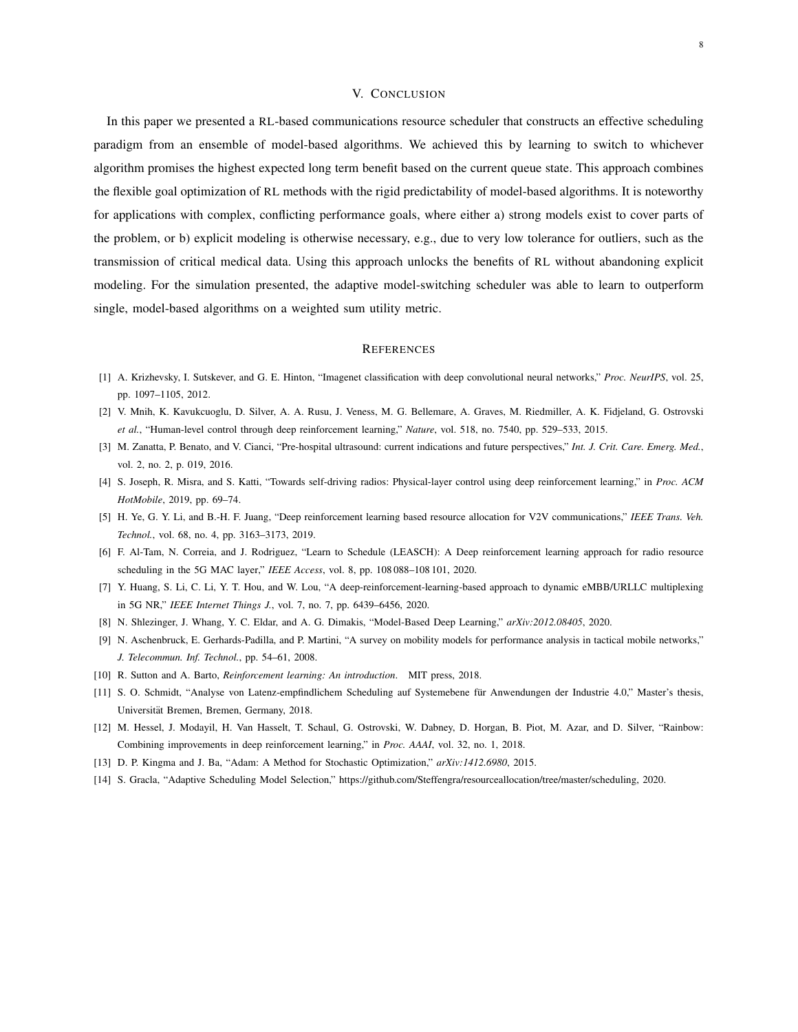# V. CONCLUSION

In this paper we presented a RL-based communications resource scheduler that constructs an effective scheduling paradigm from an ensemble of model-based algorithms. We achieved this by learning to switch to whichever algorithm promises the highest expected long term benefit based on the current queue state. This approach combines the flexible goal optimization of RL methods with the rigid predictability of model-based algorithms. It is noteworthy for applications with complex, conflicting performance goals, where either a) strong models exist to cover parts of the problem, or b) explicit modeling is otherwise necessary, e.g., due to very low tolerance for outliers, such as the transmission of critical medical data. Using this approach unlocks the benefits of RL without abandoning explicit modeling. For the simulation presented, the adaptive model-switching scheduler was able to learn to outperform single, model-based algorithms on a weighted sum utility metric.

#### **REFERENCES**

- <span id="page-8-0"></span>[1] A. Krizhevsky, I. Sutskever, and G. E. Hinton, "Imagenet classification with deep convolutional neural networks," *Proc. NeurIPS*, vol. 25, pp. 1097–1105, 2012.
- <span id="page-8-1"></span>[2] V. Mnih, K. Kavukcuoglu, D. Silver, A. A. Rusu, J. Veness, M. G. Bellemare, A. Graves, M. Riedmiller, A. K. Fidjeland, G. Ostrovski *et al.*, "Human-level control through deep reinforcement learning," *Nature*, vol. 518, no. 7540, pp. 529–533, 2015.
- <span id="page-8-2"></span>[3] M. Zanatta, P. Benato, and V. Cianci, "Pre-hospital ultrasound: current indications and future perspectives," *Int. J. Crit. Care. Emerg. Med.*, vol. 2, no. 2, p. 019, 2016.
- <span id="page-8-3"></span>[4] S. Joseph, R. Misra, and S. Katti, "Towards self-driving radios: Physical-layer control using deep reinforcement learning," in *Proc. ACM HotMobile*, 2019, pp. 69–74.
- [5] H. Ye, G. Y. Li, and B.-H. F. Juang, "Deep reinforcement learning based resource allocation for V2V communications," *IEEE Trans. Veh. Technol.*, vol. 68, no. 4, pp. 3163–3173, 2019.
- <span id="page-8-4"></span>[6] F. Al-Tam, N. Correia, and J. Rodriguez, "Learn to Schedule (LEASCH): A Deep reinforcement learning approach for radio resource scheduling in the 5G MAC layer," *IEEE Access*, vol. 8, pp. 108 088–108 101, 2020.
- <span id="page-8-5"></span>[7] Y. Huang, S. Li, C. Li, Y. T. Hou, and W. Lou, "A deep-reinforcement-learning-based approach to dynamic eMBB/URLLC multiplexing in 5G NR," *IEEE Internet Things J.*, vol. 7, no. 7, pp. 6439–6456, 2020.
- <span id="page-8-6"></span>[8] N. Shlezinger, J. Whang, Y. C. Eldar, and A. G. Dimakis, "Model-Based Deep Learning," *arXiv:2012.08405*, 2020.
- <span id="page-8-7"></span>[9] N. Aschenbruck, E. Gerhards-Padilla, and P. Martini, "A survey on mobility models for performance analysis in tactical mobile networks," *J. Telecommun. Inf. Technol.*, pp. 54–61, 2008.
- <span id="page-8-8"></span>[10] R. Sutton and A. Barto, *Reinforcement learning: An introduction*. MIT press, 2018.
- <span id="page-8-9"></span>[11] S. O. Schmidt, "Analyse von Latenz-empfindlichem Scheduling auf Systemebene für Anwendungen der Industrie 4.0," Master's thesis, Universität Bremen, Bremen, Germany, 2018.
- <span id="page-8-10"></span>[12] M. Hessel, J. Modayil, H. Van Hasselt, T. Schaul, G. Ostrovski, W. Dabney, D. Horgan, B. Piot, M. Azar, and D. Silver, "Rainbow: Combining improvements in deep reinforcement learning," in *Proc. AAAI*, vol. 32, no. 1, 2018.
- <span id="page-8-11"></span>[13] D. P. Kingma and J. Ba, "Adam: A Method for Stochastic Optimization," *arXiv:1412.6980*, 2015.
- <span id="page-8-12"></span>[14] S. Gracla, "Adaptive Scheduling Model Selection," [https://github.com/Steffengra/resourceallocation/tree/master/scheduling,](https://github.com/Steffengra/resourceallocation/tree/master/scheduling) 2020.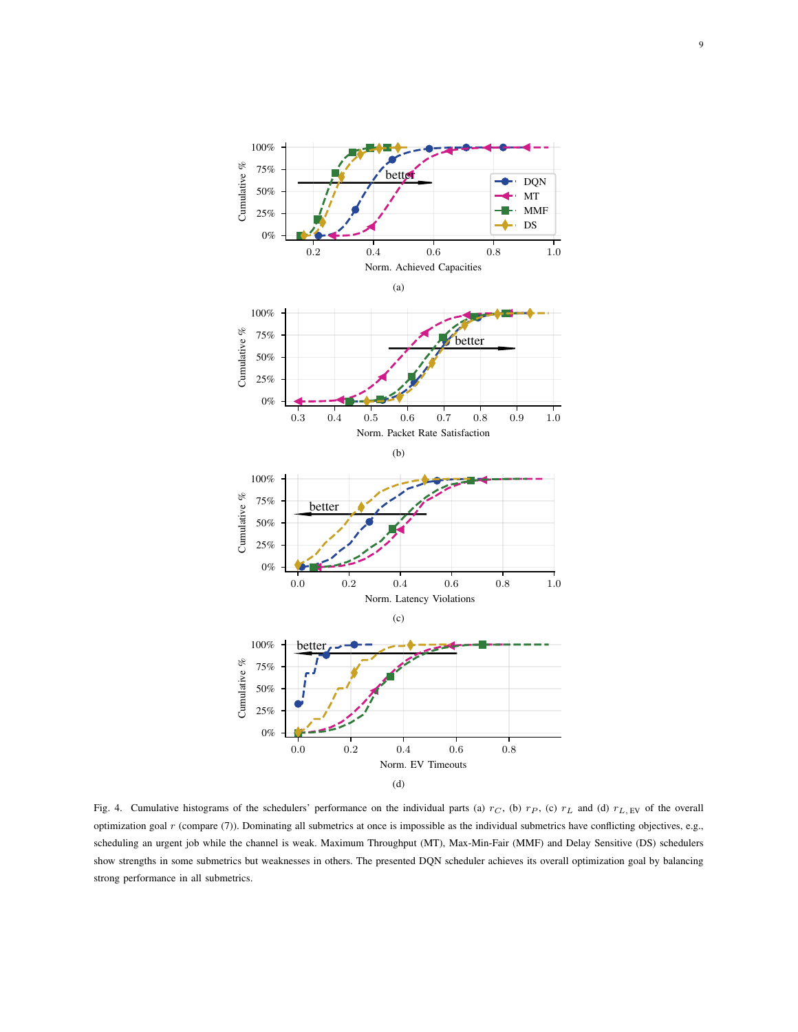

<span id="page-9-1"></span><span id="page-9-0"></span>Fig. 4. Cumulative histograms of the schedulers' performance on the individual parts (a)  $r_C$ , (b)  $r_P$ , (c)  $r_L$  and (d)  $r_{L, EV}$  of the overall optimization goal r (compare [\(7\)](#page-3-1)). Dominating all submetrics at once is impossible as the individual submetrics have conflicting objectives, e.g., scheduling an urgent job while the channel is weak. Maximum Throughput (MT), Max-Min-Fair (MMF) and Delay Sensitive (DS) schedulers show strengths in some submetrics but weaknesses in others. The presented DQN scheduler achieves its overall optimization goal by balancing strong performance in all submetrics.